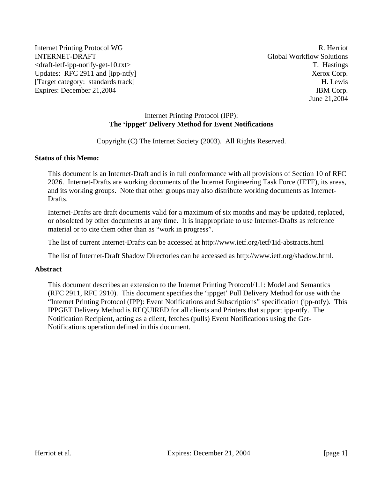Internet Printing Protocol WG R. Herriot INTERNET-DRAFT Global Workflow Solutions <draft-ietf-ipp-notify-get-10.txt> T. Hastings Updates: RFC 2911 and [ipp-ntfy] Xerox Corp. [Target category: standards track] H. Lewis Expires: December 21,2004 IBM Corp.

June 21,2004

### Internet Printing Protocol (IPP): **The 'ippget' Delivery Method for Event Notifications**

Copyright (C) The Internet Society (2003). All Rights Reserved.

### **Status of this Memo:**

This document is an Internet-Draft and is in full conformance with all provisions of Section 10 of RFC 2026. Internet-Drafts are working documents of the Internet Engineering Task Force (IETF), its areas, and its working groups. Note that other groups may also distribute working documents as Internet-Drafts.

Internet-Drafts are draft documents valid for a maximum of six months and may be updated, replaced, or obsoleted by other documents at any time. It is inappropriate to use Internet-Drafts as reference material or to cite them other than as "work in progress".

The list of current Internet-Drafts can be accessed at http://www.ietf.org/ietf/1id-abstracts.html

The list of Internet-Draft Shadow Directories can be accessed as http://www.ietf.org/shadow.html.

#### **Abstract**

This document describes an extension to the Internet Printing Protocol/1.1: Model and Semantics (RFC 2911, RFC 2910). This document specifies the 'ippget' Pull Delivery Method for use with the "Internet Printing Protocol (IPP): Event Notifications and Subscriptions" specification (ipp-ntfy). This IPPGET Delivery Method is REQUIRED for all clients and Printers that support ipp-ntfy. The Notification Recipient, acting as a client, fetches (pulls) Event Notifications using the Get-Notifications operation defined in this document.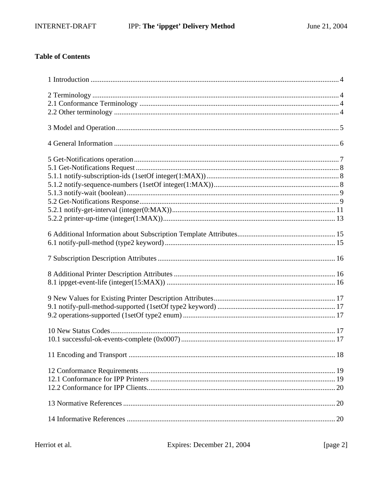## **Table of Contents**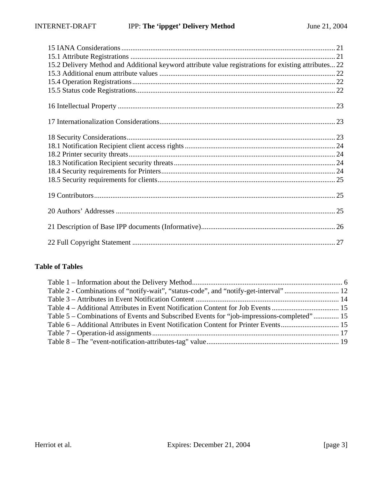| 15.2 Delivery Method and Additional keyword attribute value registrations for existing attributes 22 |
|------------------------------------------------------------------------------------------------------|
|                                                                                                      |
|                                                                                                      |
|                                                                                                      |
|                                                                                                      |
|                                                                                                      |
|                                                                                                      |
|                                                                                                      |

## **Table of Tables**

| Table 5 – Combinations of Events and Subscribed Events for "job-impressions-completed" 15 |  |
|-------------------------------------------------------------------------------------------|--|
|                                                                                           |  |
|                                                                                           |  |
|                                                                                           |  |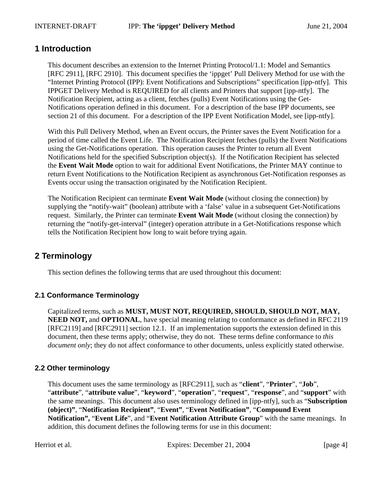## **1 Introduction**

This document describes an extension to the Internet Printing Protocol/1.1: Model and Semantics [RFC 2911], [RFC 2910]. This document specifies the 'ippget' Pull Delivery Method for use with the "Internet Printing Protocol (IPP): Event Notifications and Subscriptions" specification [ipp-ntfy]. This IPPGET Delivery Method is REQUIRED for all clients and Printers that support [ipp-ntfy]. The Notification Recipient, acting as a client, fetches (pulls) Event Notifications using the Get-Notifications operation defined in this document. For a description of the base IPP documents, see section 21 of this document. For a description of the IPP Event Notification Model, see [ipp-ntfy].

With this Pull Delivery Method, when an Event occurs, the Printer saves the Event Notification for a period of time called the Event Life. The Notification Recipient fetches (pulls) the Event Notifications using the Get-Notifications operation. This operation causes the Printer to return all Event Notifications held for the specified Subscription object(s). If the Notification Recipient has selected the **Event Wait Mode** option to wait for additional Event Notifications, the Printer MAY continue to return Event Notifications to the Notification Recipient as asynchronous Get-Notification responses as Events occur using the transaction originated by the Notification Recipient.

The Notification Recipient can terminate **Event Wait Mode** (without closing the connection) by supplying the "notify-wait" (boolean) attribute with a 'false' value in a subsequent Get-Notifications request. Similarly, the Printer can terminate **Event Wait Mode** (without closing the connection) by returning the "notify-get-interval" (integer) operation attribute in a Get-Notifications response which tells the Notification Recipient how long to wait before trying again.

# **2 Terminology**

This section defines the following terms that are used throughout this document:

## **2.1 Conformance Terminology**

Capitalized terms, such as **MUST, MUST NOT, REQUIRED, SHOULD, SHOULD NOT, MAY, NEED NOT, and <b>OPTIONAL**, have special meaning relating to conformance as defined in RFC 2119 [RFC2119] and [RFC2911] section 12.1. If an implementation supports the extension defined in this document, then these terms apply; otherwise, they do not. These terms define conformance to *this document only*; they do not affect conformance to other documents, unless explicitly stated otherwise.

## **2.2 Other terminology**

This document uses the same terminology as [RFC2911], such as "**client**", "**Printer**", "**Job**", "**attribute**", "**attribute value**", "**keyword**", "**operation**", "**request**", "**response**", and "**support**" with the same meanings. This document also uses terminology defined in [ipp-ntfy], such as "**Subscription (object)"**, "**Notification Recipient"**, "**Event"**, "**Event Notification"**, "**Compound Event Notification",** "**Event Life**", and "**Event Notification Attribute Group**" with the same meanings. In addition, this document defines the following terms for use in this document: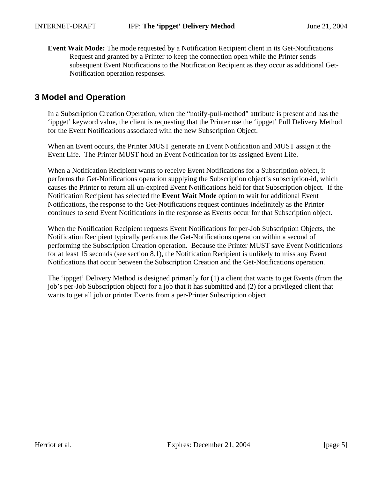**Event Wait Mode:** The mode requested by a Notification Recipient client in its Get-Notifications Request and granted by a Printer to keep the connection open while the Printer sends subsequent Event Notifications to the Notification Recipient as they occur as additional Get-Notification operation responses.

# **3 Model and Operation**

In a Subscription Creation Operation, when the "notify-pull-method" attribute is present and has the 'ippget' keyword value, the client is requesting that the Printer use the 'ippget' Pull Delivery Method for the Event Notifications associated with the new Subscription Object.

When an Event occurs, the Printer MUST generate an Event Notification and MUST assign it the Event Life. The Printer MUST hold an Event Notification for its assigned Event Life.

When a Notification Recipient wants to receive Event Notifications for a Subscription object, it performs the Get-Notifications operation supplying the Subscription object's subscription-id, which causes the Printer to return all un-expired Event Notifications held for that Subscription object. If the Notification Recipient has selected the **Event Wait Mode** option to wait for additional Event Notifications, the response to the Get-Notifications request continues indefinitely as the Printer continues to send Event Notifications in the response as Events occur for that Subscription object.

When the Notification Recipient requests Event Notifications for per-Job Subscription Objects, the Notification Recipient typically performs the Get-Notifications operation within a second of performing the Subscription Creation operation. Because the Printer MUST save Event Notifications for at least 15 seconds (see section 8.1), the Notification Recipient is unlikely to miss any Event Notifications that occur between the Subscription Creation and the Get-Notifications operation.

The 'ippget' Delivery Method is designed primarily for (1) a client that wants to get Events (from the job's per-Job Subscription object) for a job that it has submitted and (2) for a privileged client that wants to get all job or printer Events from a per-Printer Subscription object.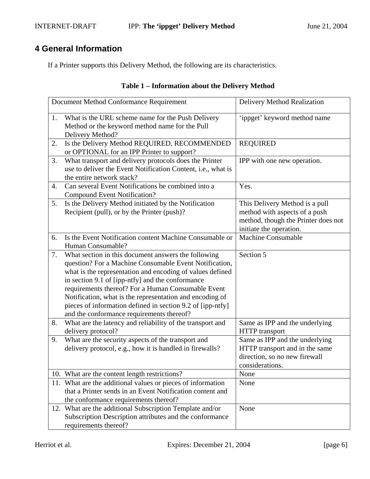## INTERNET-DRAFT **IPP:** The 'ippget' Delivery Method June 21, 2004

# **4 General Information**

If a Printer supports this Delivery Method, the following are its characteristics.

| Table 1 – Information about the Delivery Method |  |  |
|-------------------------------------------------|--|--|
|                                                 |  |  |

|    | Document Method Conformance Requirement                                                                                                                                                                                                                                                                                                                                                                                                                     | Delivery Method Realization                                                                                                       |
|----|-------------------------------------------------------------------------------------------------------------------------------------------------------------------------------------------------------------------------------------------------------------------------------------------------------------------------------------------------------------------------------------------------------------------------------------------------------------|-----------------------------------------------------------------------------------------------------------------------------------|
| 1. | What is the URL scheme name for the Push Delivery<br>Method or the keyword method name for the Pull<br>Delivery Method?                                                                                                                                                                                                                                                                                                                                     | 'ippget' keyword method name                                                                                                      |
| 2. | Is the Delivery Method REQUIRED, RECOMMENDED<br>or OPTIONAL for an IPP Printer to support?                                                                                                                                                                                                                                                                                                                                                                  | <b>REQUIRED</b>                                                                                                                   |
| 3. | What transport and delivery protocols does the Printer<br>use to deliver the Event Notification Content, i.e., what is<br>the entire network stack?                                                                                                                                                                                                                                                                                                         | IPP with one new operation.                                                                                                       |
| 4. | Can several Event Notifications be combined into a<br><b>Compound Event Notification?</b>                                                                                                                                                                                                                                                                                                                                                                   | Yes.                                                                                                                              |
| 5. | Is the Delivery Method initiated by the Notification<br>Recipient (pull), or by the Printer (push)?                                                                                                                                                                                                                                                                                                                                                         | This Delivery Method is a pull<br>method with aspects of a push<br>method, though the Printer does not<br>initiate the operation. |
| 6. | Is the Event Notification content Machine Consumable or<br>Human Consumable?                                                                                                                                                                                                                                                                                                                                                                                | <b>Machine Consumable</b>                                                                                                         |
| 7. | What section in this document answers the following<br>question? For a Machine Consumable Event Notification,<br>what is the representation and encoding of values defined<br>in section 9.1 of [ipp-ntfy] and the conformance<br>requirements thereof? For a Human Consumable Event<br>Notification, what is the representation and encoding of<br>pieces of information defined in section 9.2 of [ipp-ntfy]<br>and the conformance requirements thereof? | Section 5                                                                                                                         |
| 8. | What are the latency and reliability of the transport and<br>delivery protocol?                                                                                                                                                                                                                                                                                                                                                                             | Same as IPP and the underlying<br>HTTP transport                                                                                  |
| 9. | What are the security aspects of the transport and<br>delivery protocol, e.g., how it is handled in firewalls?                                                                                                                                                                                                                                                                                                                                              | Same as IPP and the underlying<br>HTTP transport and in the same<br>direction, so no new firewall<br>considerations.              |
|    | 10. What are the content length restrictions?                                                                                                                                                                                                                                                                                                                                                                                                               | None                                                                                                                              |
|    | 11. What are the additional values or pieces of information<br>that a Printer sends in an Event Notification content and<br>the conformance requirements thereof?                                                                                                                                                                                                                                                                                           | None                                                                                                                              |
|    | 12. What are the additional Subscription Template and/or<br>Subscription Description attributes and the conformance<br>requirements thereof?                                                                                                                                                                                                                                                                                                                | None                                                                                                                              |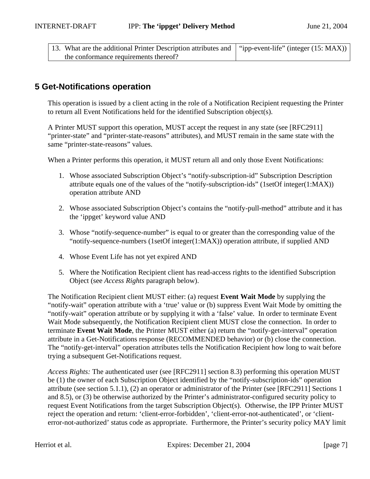| 13. What are the additional Printer Description attributes and   "ipp-event-life" (integer (15: MAX)) |  |
|-------------------------------------------------------------------------------------------------------|--|
| the conformance requirements thereof?                                                                 |  |

## **5 Get-Notifications operation**

This operation is issued by a client acting in the role of a Notification Recipient requesting the Printer to return all Event Notifications held for the identified Subscription object(s).

A Printer MUST support this operation, MUST accept the request in any state (see [RFC2911] "printer-state" and "printer-state-reasons" attributes), and MUST remain in the same state with the same "printer-state-reasons" values.

When a Printer performs this operation, it MUST return all and only those Event Notifications:

- 1. Whose associated Subscription Object's "notify-subscription-id" Subscription Description attribute equals one of the values of the "notify-subscription-ids" (1setOf integer(1:MAX)) operation attribute AND
- 2. Whose associated Subscription Object's contains the "notify-pull-method" attribute and it has the 'ippget' keyword value AND
- 3. Whose "notify-sequence-number" is equal to or greater than the corresponding value of the "notify-sequence-numbers (1setOf integer(1:MAX)) operation attribute, if supplied AND
- 4. Whose Event Life has not yet expired AND
- 5. Where the Notification Recipient client has read-access rights to the identified Subscription Object (see *Access Rights* paragraph below).

The Notification Recipient client MUST either: (a) request **Event Wait Mode** by supplying the "notify-wait" operation attribute with a 'true' value or (b) suppress Event Wait Mode by omitting the "notify-wait" operation attribute or by supplying it with a 'false' value. In order to terminate Event Wait Mode subsequently, the Notification Recipient client MUST close the connection. In order to terminate **Event Wait Mode**, the Printer MUST either (a) return the "notify-get-interval" operation attribute in a Get-Notifications response (RECOMMENDED behavior) or (b) close the connection. The "notify-get-interval" operation attributes tells the Notification Recipient how long to wait before trying a subsequent Get-Notifications request.

*Access Rights:* The authenticated user (see [RFC2911] section 8.3) performing this operation MUST be (1) the owner of each Subscription Object identified by the "notify-subscription-ids" operation attribute (see section 5.1.1), (2) an operator or administrator of the Printer (see [RFC2911] Sections 1 and 8.5), or (3) be otherwise authorized by the Printer's administrator-configured security policy to request Event Notifications from the target Subscription Object(s). Otherwise, the IPP Printer MUST reject the operation and return: 'client-error-forbidden', 'client-error-not-authenticated', or 'clienterror-not-authorized' status code as appropriate. Furthermore, the Printer's security policy MAY limit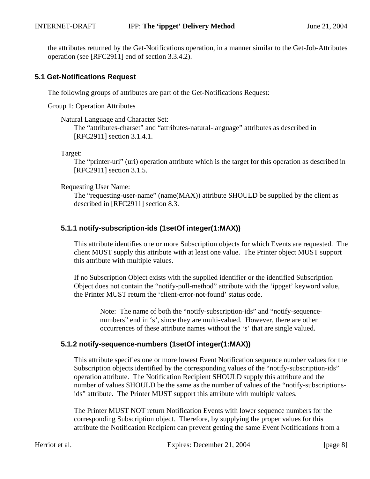the attributes returned by the Get-Notifications operation, in a manner similar to the Get-Job-Attributes operation (see [RFC2911] end of section 3.3.4.2).

## **5.1 Get-Notifications Request**

The following groups of attributes are part of the Get-Notifications Request:

Group 1: Operation Attributes

### Natural Language and Character Set:

The "attributes-charset" and "attributes-natural-language" attributes as described in [RFC2911] section 3.1.4.1.

Target:

The "printer-uri" (uri) operation attribute which is the target for this operation as described in [RFC2911] section 3.1.5.

### Requesting User Name:

The "requesting-user-name" (name(MAX)) attribute SHOULD be supplied by the client as described in [RFC2911] section 8.3.

## **5.1.1 notify-subscription-ids (1setOf integer(1:MAX))**

This attribute identifies one or more Subscription objects for which Events are requested. The client MUST supply this attribute with at least one value. The Printer object MUST support this attribute with multiple values.

If no Subscription Object exists with the supplied identifier or the identified Subscription Object does not contain the "notify-pull-method" attribute with the 'ippget' keyword value, the Printer MUST return the 'client-error-not-found' status code.

Note: The name of both the "notify-subscription-ids" and "notify-sequencenumbers" end in 's', since they are multi-valued. However, there are other occurrences of these attribute names without the 's' that are single valued.

## **5.1.2 notify-sequence-numbers (1setOf integer(1:MAX))**

This attribute specifies one or more lowest Event Notification sequence number values for the Subscription objects identified by the corresponding values of the "notify-subscription-ids" operation attribute. The Notification Recipient SHOULD supply this attribute and the number of values SHOULD be the same as the number of values of the "notify-subscriptionsids" attribute. The Printer MUST support this attribute with multiple values.

The Printer MUST NOT return Notification Events with lower sequence numbers for the corresponding Subscription object. Therefore, by supplying the proper values for this attribute the Notification Recipient can prevent getting the same Event Notifications from a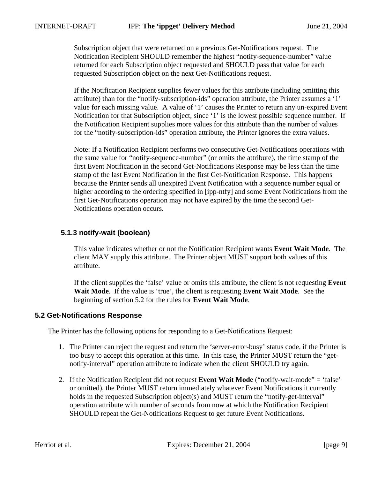Subscription object that were returned on a previous Get-Notifications request. The Notification Recipient SHOULD remember the highest "notify-sequence-number" value returned for each Subscription object requested and SHOULD pass that value for each requested Subscription object on the next Get-Notifications request.

If the Notification Recipient supplies fewer values for this attribute (including omitting this attribute) than for the "notify-subscription-ids" operation attribute, the Printer assumes a '1' value for each missing value. A value of '1' causes the Printer to return any un-expired Event Notification for that Subscription object, since '1' is the lowest possible sequence number. If the Notification Recipient supplies more values for this attribute than the number of values for the "notify-subscription-ids" operation attribute, the Printer ignores the extra values.

Note: If a Notification Recipient performs two consecutive Get-Notifications operations with the same value for "notify-sequence-number" (or omits the attribute), the time stamp of the first Event Notification in the second Get-Notifications Response may be less than the time stamp of the last Event Notification in the first Get-Notification Response. This happens because the Printer sends all unexpired Event Notification with a sequence number equal or higher according to the ordering specified in [ipp-ntfy] and some Event Notifications from the first Get-Notifications operation may not have expired by the time the second Get-Notifications operation occurs.

### **5.1.3 notify-wait (boolean)**

This value indicates whether or not the Notification Recipient wants **Event Wait Mode**. The client MAY supply this attribute. The Printer object MUST support both values of this attribute.

If the client supplies the 'false' value or omits this attribute, the client is not requesting **Event Wait Mode**. If the value is 'true', the client is requesting **Event Wait Mode**. See the beginning of section 5.2 for the rules for **Event Wait Mode**.

### **5.2 Get-Notifications Response**

The Printer has the following options for responding to a Get-Notifications Request:

- 1. The Printer can reject the request and return the 'server-error-busy' status code, if the Printer is too busy to accept this operation at this time. In this case, the Printer MUST return the "getnotify-interval" operation attribute to indicate when the client SHOULD try again.
- 2. If the Notification Recipient did not request **Event Wait Mode** ("notify-wait-mode" = 'false' or omitted), the Printer MUST return immediately whatever Event Notifications it currently holds in the requested Subscription object(s) and MUST return the "notify-get-interval" operation attribute with number of seconds from now at which the Notification Recipient SHOULD repeat the Get-Notifications Request to get future Event Notifications.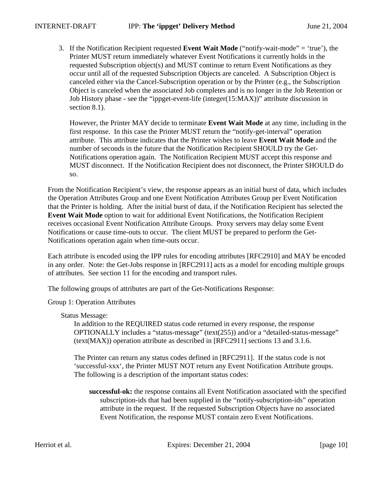3. If the Notification Recipient requested **Event Wait Mode** ("notify-wait-mode" = 'true'), the Printer MUST return immediately whatever Event Notifications it currently holds in the requested Subscription object(s) and MUST continue to return Event Notifications as they occur until all of the requested Subscription Objects are canceled. A Subscription Object is canceled either via the Cancel-Subscription operation or by the Printer (e.g., the Subscription Object is canceled when the associated Job completes and is no longer in the Job Retention or Job History phase - see the "ippget-event-life (integer(15:MAX))" attribute discussion in section 8.1).

However, the Printer MAY decide to terminate **Event Wait Mode** at any time, including in the first response. In this case the Printer MUST return the "notify-get-interval" operation attribute. This attribute indicates that the Printer wishes to leave **Event Wait Mode** and the number of seconds in the future that the Notification Recipient SHOULD try the Get-Notifications operation again. The Notification Recipient MUST accept this response and MUST disconnect. If the Notification Recipient does not disconnect, the Printer SHOULD do so.

From the Notification Recipient's view, the response appears as an initial burst of data, which includes the Operation Attributes Group and one Event Notification Attributes Group per Event Notification that the Printer is holding. After the initial burst of data, if the Notification Recipient has selected the **Event Wait Mode** option to wait for additional Event Notifications, the Notification Recipient receives occasional Event Notification Attribute Groups. Proxy servers may delay some Event Notifications or cause time-outs to occur. The client MUST be prepared to perform the Get-Notifications operation again when time-outs occur.

Each attribute is encoded using the IPP rules for encoding attributes [RFC2910] and MAY be encoded in any order. Note: the Get-Jobs response in [RFC2911] acts as a model for encoding multiple groups of attributes. See section 11 for the encoding and transport rules.

The following groups of attributes are part of the Get-Notifications Response:

Group 1: Operation Attributes

Status Message:

In addition to the REQUIRED status code returned in every response, the response OPTIONALLY includes a "status-message" (text(255)) and/or a "detailed-status-message" (text(MAX)) operation attribute as described in [RFC2911] sections 13 and 3.1.6.

The Printer can return any status codes defined in [RFC2911]. If the status code is not 'successful-xxx', the Printer MUST NOT return any Event Notification Attribute groups. The following is a description of the important status codes:

**successful-ok:** the response contains all Event Notification associated with the specified subscription-ids that had been supplied in the "notify-subscription-ids" operation attribute in the request. If the requested Subscription Objects have no associated Event Notification, the response MUST contain zero Event Notifications.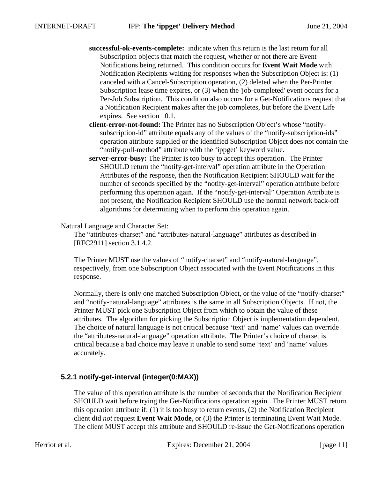- **successful-ok-events-complete:** indicate when this return is the last return for all Subscription objects that match the request, whether or not there are Event Notifications being returned. This condition occurs for **Event Wait Mode** with Notification Recipients waiting for responses when the Subscription Object is: (1) canceled with a Cancel-Subscription operation, (2) deleted when the Per-Printer Subscription lease time expires, or (3) when the 'job-completed' event occurs for a Per-Job Subscription. This condition also occurs for a Get-Notifications request that a Notification Recipient makes after the job completes, but before the Event Life expires. See section 10.1.
- **client-error-not-found:** The Printer has no Subscription Object's whose "notifysubscription-id" attribute equals any of the values of the "notify-subscription-ids" operation attribute supplied or the identified Subscription Object does not contain the "notify-pull-method" attribute with the 'ippget' keyword value.
- **server-error-busy:** The Printer is too busy to accept this operation. The Printer SHOULD return the "notify-get-interval" operation attribute in the Operation Attributes of the response, then the Notification Recipient SHOULD wait for the number of seconds specified by the "notify-get-interval" operation attribute before performing this operation again. If the "notify-get-interval" Operation Attribute is not present, the Notification Recipient SHOULD use the normal network back-off algorithms for determining when to perform this operation again.

### Natural Language and Character Set:

The "attributes-charset" and "attributes-natural-language" attributes as described in [RFC2911] section 3.1.4.2.

The Printer MUST use the values of "notify-charset" and "notify-natural-language", respectively, from one Subscription Object associated with the Event Notifications in this response.

Normally, there is only one matched Subscription Object, or the value of the "notify-charset" and "notify-natural-language" attributes is the same in all Subscription Objects. If not, the Printer MUST pick one Subscription Object from which to obtain the value of these attributes. The algorithm for picking the Subscription Object is implementation dependent. The choice of natural language is not critical because 'text' and 'name' values can override the "attributes-natural-language" operation attribute. The Printer's choice of charset is critical because a bad choice may leave it unable to send some 'text' and 'name' values accurately.

## **5.2.1 notify-get-interval (integer(0:MAX))**

The value of this operation attribute is the number of seconds that the Notification Recipient SHOULD wait before trying the Get-Notifications operation again. The Printer MUST return this operation attribute if: (1) it is too busy to return events, (2) the Notification Recipient client did *not* request **Event Wait Mode**, or (3) the Printer is terminating Event Wait Mode. The client MUST accept this attribute and SHOULD re-issue the Get-Notifications operation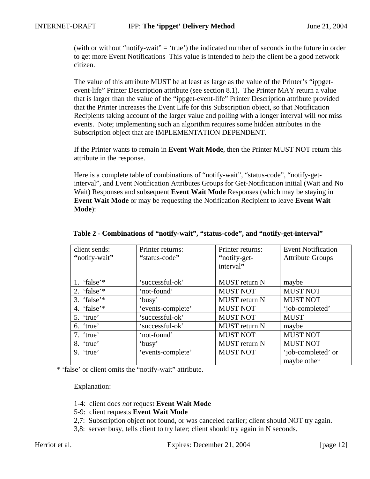(with or without "notify-wait" = 'true') the indicated number of seconds in the future in order to get more Event Notifications This value is intended to help the client be a good network citizen.

The value of this attribute MUST be at least as large as the value of the Printer's "ippgetevent-life" Printer Description attribute (see section 8.1). The Printer MAY return a value that is larger than the value of the "ippget-event-life" Printer Description attribute provided that the Printer increases the Event Life for this Subscription object, so that Notification Recipients taking account of the larger value and polling with a longer interval will *not* miss events. Note; implementing such an algorithm requires some hidden attributes in the Subscription object that are IMPLEMENTATION DEPENDENT.

If the Printer wants to remain in **Event Wait Mode**, then the Printer MUST NOT return this attribute in the response.

Here is a complete table of combinations of "notify-wait", "status-code", "notify-getinterval", and Event Notification Attributes Groups for Get-Notification initial (Wait and No Wait) Responses and subsequent **Event Wait Mode** Responses (which may be staying in **Event Wait Mode** or may be requesting the Notification Recipient to leave **Event Wait Mode**):

| client sends:<br>"notify-wait" | Printer returns:<br>"status-code" | Printer returns:<br>"notify-get-<br>interval" | <b>Event Notification</b><br><b>Attribute Groups</b> |
|--------------------------------|-----------------------------------|-----------------------------------------------|------------------------------------------------------|
| 1. 'false'*                    | 'successful-ok'                   | <b>MUST</b> return N                          | maybe                                                |
| 2. 'false'*                    | 'not-found'                       | <b>MUST NOT</b>                               | <b>MUST NOT</b>                                      |
| 3. 'false' $*$                 | 'busy'                            | <b>MUST</b> return N                          | <b>MUST NOT</b>                                      |
| 4. 'false'*                    | 'events-complete'                 | <b>MUST NOT</b>                               | 'job-completed'                                      |
| 5. 'true'                      | 'successful-ok'                   | <b>MUST NOT</b>                               | <b>MUST</b>                                          |
| 6. 'true'                      | 'successful-ok'                   | <b>MUST</b> return N                          | maybe                                                |
| 7. 'true'                      | 'not-found'                       | <b>MUST NOT</b>                               | <b>MUST NOT</b>                                      |
| 8. 'true'                      | 'busy'                            | MUST return N                                 | <b>MUST NOT</b>                                      |
| $9.$ 'true'                    | 'events-complete'                 | <b>MUST NOT</b>                               | 'job-completed' or<br>maybe other                    |

### **Table 2 - Combinations of "notify-wait", "status-code", and "notify-get-interval"**

\* 'false' or client omits the "notify-wait" attribute.

Explanation:

- 1-4: client does *not* request **Event Wait Mode**
- 5-9: client requests **Event Wait Mode**
- 2,7: Subscription object not found, or was canceled earlier; client should NOT try again.
- 3,8: server busy, tells client to try later; client should try again in N seconds.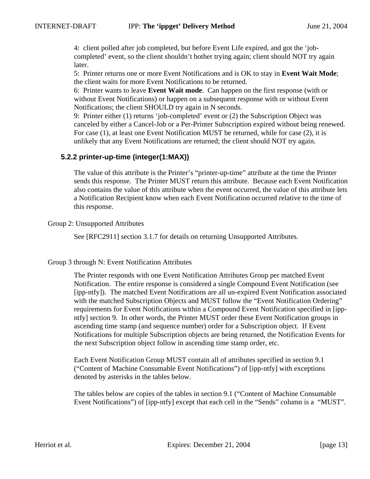4: client polled after job completed, but before Event Life expired, and got the 'jobcompleted' event, so the client shouldn't bother trying again; client should NOT try again later.

5: Printer returns one or more Event Notifications and is OK to stay in **Event Wait Mode**; the client waits for more Event Notifications to be returned.

6: Printer wants to leave **Event Wait mode**. Can happen on the first response (with or without Event Notifications) or happen on a subsequent response with or without Event Notifications; the client SHOULD try again in N seconds.

9: Printer either (1) returns 'job-completed' event or (2) the Subscription Object was canceled by either a Cancel-Job or a Per-Printer Subscription expired without being renewed. For case (1), at least one Event Notification MUST be returned, while for case (2), it is unlikely that any Event Notifications are returned; the client should NOT try again.

## **5.2.2 printer-up-time (integer(1:MAX))**

The value of this attribute is the Printer's "printer-up-time" attribute at the time the Printer sends this response. The Printer MUST return this attribute. Because each Event Notification also contains the value of this attribute when the event occurred, the value of this attribute lets a Notification Recipient know when each Event Notification occurred relative to the time of this response.

Group 2: Unsupported Attributes

See [RFC2911] section 3.1.7 for details on returning Unsupported Attributes.

### Group 3 through N: Event Notification Attributes

The Printer responds with one Event Notification Attributes Group per matched Event Notification. The entire response is considered a single Compound Event Notification (see [ipp-ntfy]). The matched Event Notifications are all un-expired Event Notification associated with the matched Subscription Objects and MUST follow the "Event Notification Ordering" requirements for Event Notifications within a Compound Event Notification specified in [ippntfy] section 9. In other words, the Printer MUST order these Event Notification groups in ascending time stamp (and sequence number) order for a Subscription object. If Event Notifications for multiple Subscription objects are being returned, the Notification Events for the next Subscription object follow in ascending time stamp order, etc.

Each Event Notification Group MUST contain all of attributes specified in section 9.1 ("Content of Machine Consumable Event Notifications") of [ipp-ntfy] with exceptions denoted by asterisks in the tables below.

The tables below are copies of the tables in section 9.1 ("Content of Machine Consumable Event Notifications") of [ipp-ntfy] except that each cell in the "Sends" column is a "MUST".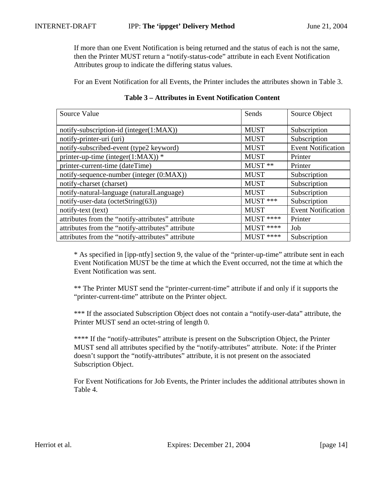If more than one Event Notification is being returned and the status of each is not the same, then the Printer MUST return a "notify-status-code" attribute in each Event Notification Attributes group to indicate the differing status values.

For an Event Notification for all Events, the Printer includes the attributes shown in Table 3.

| Source Value                                      | Sends       | Source Object             |
|---------------------------------------------------|-------------|---------------------------|
| notify-subscription-id (integer(1:MAX))           | <b>MUST</b> | Subscription              |
| notify-printer-uri (uri)                          | <b>MUST</b> | Subscription              |
| notify-subscribed-event (type2 keyword)           | <b>MUST</b> | <b>Event Notification</b> |
| printer-up-time (integer(1:MAX)) $*$              | <b>MUST</b> | Printer                   |
| printer-current-time (dateTime)                   | MUST **     | Printer                   |
| notify-sequence-number (integer (0:MAX))          | <b>MUST</b> | Subscription              |
| notify-charset (charset)                          | <b>MUST</b> | Subscription              |
| notify-natural-language (naturalLanguage)         | <b>MUST</b> | Subscription              |
| notify-user-data (octetString(63))                | MUST ***    | Subscription              |
| notify-text (text)                                | <b>MUST</b> | <b>Event Notification</b> |
| attributes from the "notify-attributes" attribute | MUST ****   | Printer                   |
| attributes from the "notify-attributes" attribute | $MUST$ **** | Job                       |
| attributes from the "notify-attributes" attribute | $MUST$ **** | Subscription              |

## **Table 3 – Attributes in Event Notification Content**

\* As specified in [ipp-ntfy] section 9, the value of the "printer-up-time" attribute sent in each Event Notification MUST be the time at which the Event occurred, not the time at which the Event Notification was sent.

\*\* The Printer MUST send the "printer-current-time" attribute if and only if it supports the "printer-current-time" attribute on the Printer object.

\*\*\* If the associated Subscription Object does not contain a "notify-user-data" attribute, the Printer MUST send an octet-string of length 0.

\*\*\*\* If the "notify-attributes" attribute is present on the Subscription Object, the Printer MUST send all attributes specified by the "notify-attributes" attribute. Note: if the Printer doesn't support the "notify-attributes" attribute, it is not present on the associated Subscription Object.

For Event Notifications for Job Events, the Printer includes the additional attributes shown in Table 4.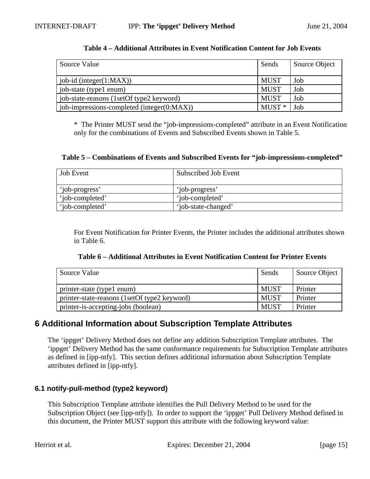| Source Value                               | Sends       | Source Object |
|--------------------------------------------|-------------|---------------|
| $job-id$ (integer(1:MAX))                  | <b>MUST</b> | Job           |
| job-state (type1 enum)                     | <b>MUST</b> | Job           |
| job-state-reasons (1setOf type2 keyword)   | <b>MUST</b> | Job           |
| job-impressions-completed (integer(0:MAX)) | $MUST*$     | Job           |

#### **Table 4 – Additional Attributes in Event Notification Content for Job Events**

\* The Printer MUST send the "job-impressions-completed" attribute in an Event Notification only for the combinations of Events and Subscribed Events shown in Table 5.

#### **Table 5 – Combinations of Events and Subscribed Events for "job-impressions-completed"**

| <b>Job Event</b> | Subscribed Job Event |
|------------------|----------------------|
| 'iob-progress'   | 'job-progress'       |
| 'iob-completed'  | 'iob-completed'      |
| 'iob-completed'  | 'iob-state-changed'  |

For Event Notification for Printer Events, the Printer includes the additional attributes shown in Table 6.

| Table 6 – Additional Attributes in Event Notification Content for Printer Events |  |
|----------------------------------------------------------------------------------|--|
|----------------------------------------------------------------------------------|--|

| Source Value                                 | Sends       | Source Object |
|----------------------------------------------|-------------|---------------|
| printer-state (type1 enum)                   | <b>MUST</b> | Printer       |
| printer-state-reasons (1setOf type2 keyword) | <b>MUST</b> | Printer       |
| printer-is-accepting-jobs (boolean)          | <b>MUST</b> | Printer       |

## **6 Additional Information about Subscription Template Attributes**

The 'ippget' Delivery Method does not define any addition Subscription Template attributes. The 'ippget' Delivery Method has the same conformance requirements for Subscription Template attributes as defined in [ipp-ntfy]. This section defines additional information about Subscription Template attributes defined in [ipp-ntfy].

### **6.1 notify-pull-method (type2 keyword)**

This Subscription Template attribute identifies the Pull Delivery Method to be used for the Subscription Object (see [ipp-ntfy]). In order to support the 'ippget' Pull Delivery Method defined in this document, the Printer MUST support this attribute with the following keyword value: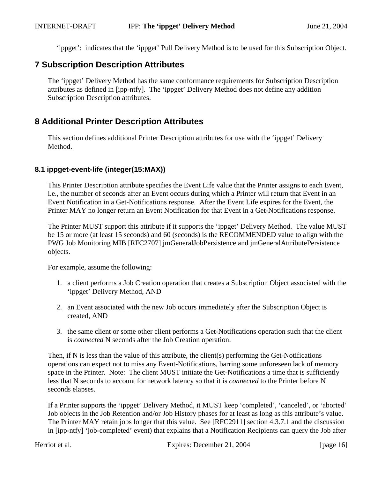'ippget': indicates that the 'ippget' Pull Delivery Method is to be used for this Subscription Object.

## **7 Subscription Description Attributes**

The 'ippget' Delivery Method has the same conformance requirements for Subscription Description attributes as defined in [ipp-ntfy]. The 'ippget' Delivery Method does not define any addition Subscription Description attributes.

## **8 Additional Printer Description Attributes**

This section defines additional Printer Description attributes for use with the 'ippget' Delivery Method.

## **8.1 ippget-event-life (integer(15:MAX))**

This Printer Description attribute specifies the Event Life value that the Printer assigns to each Event, i.e., the number of seconds after an Event occurs during which a Printer will return that Event in an Event Notification in a Get-Notifications response. After the Event Life expires for the Event, the Printer MAY no longer return an Event Notification for that Event in a Get-Notifications response.

The Printer MUST support this attribute if it supports the 'ippget' Delivery Method. The value MUST be 15 or more (at least 15 seconds) and 60 (seconds) is the RECOMMENDED value to align with the PWG Job Monitoring MIB [RFC2707] jmGeneralJobPersistence and jmGeneralAttributePersistence objects.

For example, assume the following:

- 1. a client performs a Job Creation operation that creates a Subscription Object associated with the 'ippget' Delivery Method, AND
- 2. an Event associated with the new Job occurs immediately after the Subscription Object is created, AND
- 3. the same client or some other client performs a Get-Notifications operation such that the client is *connected* N seconds after the Job Creation operation.

Then, if N is less than the value of this attribute, the client(s) performing the Get-Notifications operations can expect not to miss any Event-Notifications, barring some unforeseen lack of memory space in the Printer. Note: The client MUST initiate the Get-Notifications a time that is sufficiently less that N seconds to account for network latency so that it is *connected* to the Printer before N seconds elapses.

If a Printer supports the 'ippget' Delivery Method, it MUST keep 'completed', 'canceled', or 'aborted' Job objects in the Job Retention and/or Job History phases for at least as long as this attribute's value. The Printer MAY retain jobs longer that this value. See [RFC2911] section 4.3.7.1 and the discussion in [ipp-ntfy] 'job-completed' event) that explains that a Notification Recipients can query the Job after

Herriot et al. Expires: December 21, 2004 [page 16]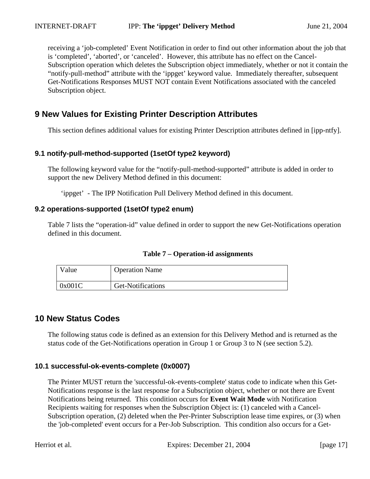receiving a 'job-completed' Event Notification in order to find out other information about the job that is 'completed', 'aborted', or 'canceled'. However, this attribute has no effect on the Cancel-Subscription operation which deletes the Subscription object immediately, whether or not it contain the "notify-pull-method" attribute with the 'ippget' keyword value. Immediately thereafter, subsequent Get-Notifications Responses MUST NOT contain Event Notifications associated with the canceled Subscription object.

# **9 New Values for Existing Printer Description Attributes**

This section defines additional values for existing Printer Description attributes defined in [ipp-ntfy].

## **9.1 notify-pull-method-supported (1setOf type2 keyword)**

The following keyword value for the "notify-pull-method-supported" attribute is added in order to support the new Delivery Method defined in this document:

'ippget' - The IPP Notification Pull Delivery Method defined in this document.

### **9.2 operations-supported (1setOf type2 enum)**

Table 7 lists the "operation-id" value defined in order to support the new Get-Notifications operation defined in this document.

| $v_{\text{alue}}$ | <b>Operation Name</b> |
|-------------------|-----------------------|
| 0x001C            | Get-Notifications     |

## **10 New Status Codes**

The following status code is defined as an extension for this Delivery Method and is returned as the status code of the Get-Notifications operation in Group 1 or Group 3 to N (see section 5.2).

### **10.1 successful-ok-events-complete (0x0007)**

The Printer MUST return the 'successful-ok-events-complete' status code to indicate when this Get-Notifications response is the last response for a Subscription object, whether or not there are Event Notifications being returned. This condition occurs for **Event Wait Mode** with Notification Recipients waiting for responses when the Subscription Object is: (1) canceled with a Cancel-Subscription operation, (2) deleted when the Per-Printer Subscription lease time expires, or (3) when the 'job-completed' event occurs for a Per-Job Subscription. This condition also occurs for a Get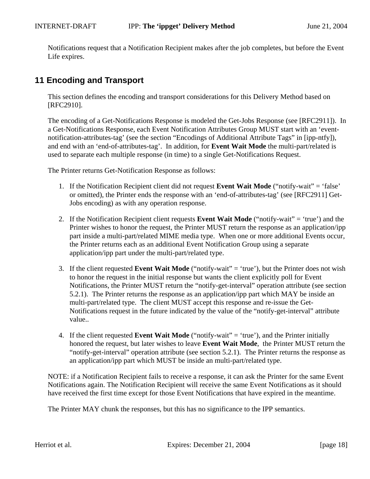Notifications request that a Notification Recipient makes after the job completes, but before the Event Life expires.

# **11 Encoding and Transport**

This section defines the encoding and transport considerations for this Delivery Method based on [RFC2910].

The encoding of a Get-Notifications Response is modeled the Get-Jobs Response (see [RFC2911]). In a Get-Notifications Response, each Event Notification Attributes Group MUST start with an 'eventnotification-attributes-tag' (see the section "Encodings of Additional Attribute Tags" in [ipp-ntfy]), and end with an 'end-of-attributes-tag'. In addition, for **Event Wait Mode** the multi-part/related is used to separate each multiple response (in time) to a single Get-Notifications Request.

The Printer returns Get-Notification Response as follows:

- 1. If the Notification Recipient client did not request **Event Wait Mode** ("notify-wait" = 'false' or omitted), the Printer ends the response with an 'end-of-attributes-tag' (see [RFC2911] Get-Jobs encoding) as with any operation response.
- 2. If the Notification Recipient client requests **Event Wait Mode** ("notify-wait" = 'true') and the Printer wishes to honor the request, the Printer MUST return the response as an application/ipp part inside a multi-part/related MIME media type. When one or more additional Events occur, the Printer returns each as an additional Event Notification Group using a separate application/ipp part under the multi-part/related type.
- 3. If the client requested **Event Wait Mode** ("notify-wait" = 'true'), but the Printer does not wish to honor the request in the initial response but wants the client explicitly poll for Event Notifications, the Printer MUST return the "notify-get-interval" operation attribute (see section 5.2.1). The Printer returns the response as an application/ipp part which MAY be inside an multi-part/related type. The client MUST accept this response and re-issue the Get-Notifications request in the future indicated by the value of the "notify-get-interval" attribute value..
- 4. If the client requested **Event Wait Mode** ("notify-wait" = 'true'), and the Printer initially honored the request, but later wishes to leave **Event Wait Mode**, the Printer MUST return the "notify-get-interval" operation attribute (see section 5.2.1). The Printer returns the response as an application/ipp part which MUST be inside an multi-part/related type.

NOTE: if a Notification Recipient fails to receive a response, it can ask the Printer for the same Event Notifications again. The Notification Recipient will receive the same Event Notifications as it should have received the first time except for those Event Notifications that have expired in the meantime.

The Printer MAY chunk the responses, but this has no significance to the IPP semantics.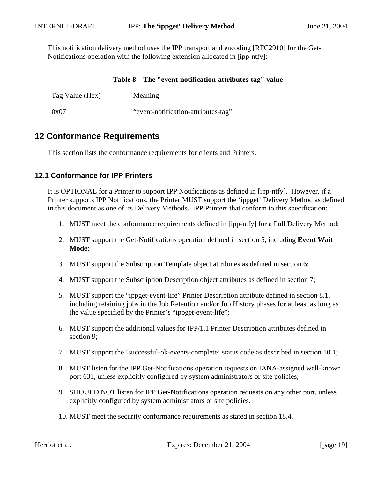This notification delivery method uses the IPP transport and encoding [RFC2910] for the Get-Notifications operation with the following extension allocated in [ipp-ntfy]:

| Tag Value (Hex) | Meaning                             |
|-----------------|-------------------------------------|
| 0x07            | "event-notification-attributes-tag" |

### **Table 8 – The "event-notification-attributes-tag" value**

## **12 Conformance Requirements**

This section lists the conformance requirements for clients and Printers.

### **12.1 Conformance for IPP Printers**

It is OPTIONAL for a Printer to support IPP Notifications as defined in [ipp-ntfy]. However, if a Printer supports IPP Notifications, the Printer MUST support the 'ippget' Delivery Method as defined in this document as one of its Delivery Methods. IPP Printers that conform to this specification:

- 1. MUST meet the conformance requirements defined in [ipp-ntfy] for a Pull Delivery Method;
- 2. MUST support the Get-Notifications operation defined in section 5, including **Event Wait Mode**;
- 3. MUST support the Subscription Template object attributes as defined in section 6;
- 4. MUST support the Subscription Description object attributes as defined in section 7;
- 5. MUST support the "ippget-event-life" Printer Description attribute defined in section 8.1, including retaining jobs in the Job Retention and/or Job History phases for at least as long as the value specified by the Printer's "ippget-event-life";
- 6. MUST support the additional values for IPP/1.1 Printer Description attributes defined in section 9;
- 7. MUST support the 'successful-ok-events-complete' status code as described in section 10.1;
- 8. MUST listen for the IPP Get-Notifications operation requests on IANA-assigned well-known port 631, unless explicitly configured by system administrators or site policies;
- 9. SHOULD NOT listen for IPP Get-Notifications operation requests on any other port, unless explicitly configured by system administrators or site policies.
- 10. MUST meet the security conformance requirements as stated in section 18.4.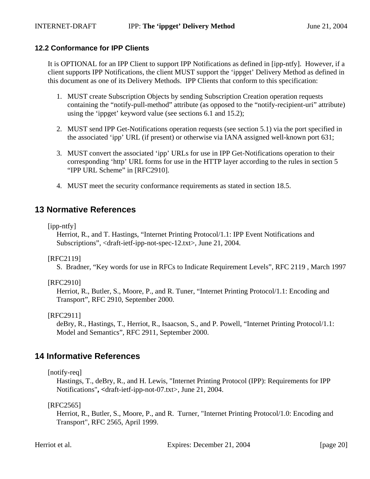## **12.2 Conformance for IPP Clients**

It is OPTIONAL for an IPP Client to support IPP Notifications as defined in [ipp-ntfy]. However, if a client supports IPP Notifications, the client MUST support the 'ippget' Delivery Method as defined in this document as one of its Delivery Methods. IPP Clients that conform to this specification:

- 1. MUST create Subscription Objects by sending Subscription Creation operation requests containing the "notify-pull-method" attribute (as opposed to the "notify-recipient-uri" attribute) using the 'ippget' keyword value (see sections 6.1 and 15.2);
- 2. MUST send IPP Get-Notifications operation requests (see section 5.1) via the port specified in the associated 'ipp' URL (if present) or otherwise via IANA assigned well-known port 631;
- 3. MUST convert the associated 'ipp' URLs for use in IPP Get-Notifications operation to their corresponding 'http' URL forms for use in the HTTP layer according to the rules in section 5 "IPP URL Scheme" in [RFC2910].
- 4. MUST meet the security conformance requirements as stated in section 18.5.

## **13 Normative References**

[ipp-ntfy]

Herriot, R., and T. Hastings, "Internet Printing Protocol/1.1: IPP Event Notifications and Subscriptions", <draft-ietf-ipp-not-spec-12.txt>, June 21, 2004.

[RFC2119]

S. Bradner, "Key words for use in RFCs to Indicate Requirement Levels", RFC 2119 , March 1997

[RFC2910]

Herriot, R., Butler, S., Moore, P., and R. Tuner, "Internet Printing Protocol/1.1: Encoding and Transport", RFC 2910, September 2000.

[RFC2911]

deBry, R., Hastings, T., Herriot, R., Isaacson, S., and P. Powell, "Internet Printing Protocol/1.1: Model and Semantics", RFC 2911, September 2000.

## **14 Informative References**

[notify-req]

Hastings, T., deBry, R., and H. Lewis, "Internet Printing Protocol (IPP): Requirements for IPP Notifications"**, <**draft-ietf-ipp-not-07.txt>, June 21, 2004.

[RFC2565]

Herriot, R., Butler, S., Moore, P., and R. Turner, "Internet Printing Protocol/1.0: Encoding and Transport", RFC 2565, April 1999.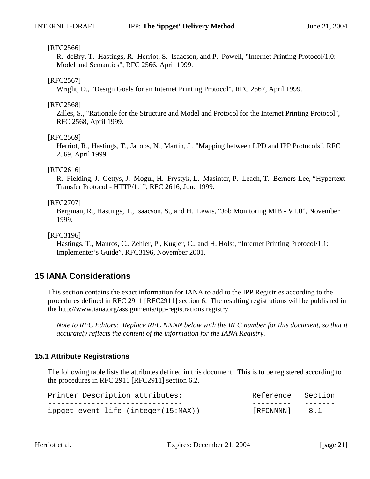#### [RFC2566]

R. deBry, T. Hastings, R. Herriot, S. Isaacson, and P. Powell, "Internet Printing Protocol/1.0: Model and Semantics", RFC 2566, April 1999.

#### [RFC2567]

Wright, D., "Design Goals for an Internet Printing Protocol", RFC 2567, April 1999.

#### [RFC2568]

Zilles, S., "Rationale for the Structure and Model and Protocol for the Internet Printing Protocol", RFC 2568, April 1999.

#### [RFC2569]

Herriot, R., Hastings, T., Jacobs, N., Martin, J., "Mapping between LPD and IPP Protocols", RFC 2569, April 1999.

#### [RFC2616]

R. Fielding, J. Gettys, J. Mogul, H. Frystyk, L. Masinter, P. Leach, T. Berners-Lee, "Hypertext Transfer Protocol - HTTP/1.1", RFC 2616, June 1999.

#### [RFC2707]

Bergman, R., Hastings, T., Isaacson, S., and H. Lewis, "Job Monitoring MIB - V1.0", November 1999.

### [RFC3196]

Hastings, T., Manros, C., Zehler, P., Kugler, C., and H. Holst, "Internet Printing Protocol/1.1: Implementer's Guide", RFC3196, November 2001.

## **15 IANA Considerations**

This section contains the exact information for IANA to add to the IPP Registries according to the procedures defined in RFC 2911 [RFC2911] section 6. The resulting registrations will be published in the http://www.iana.org/assignments/ipp-registrations registry.

*Note to RFC Editors: Replace RFC NNNN below with the RFC number for this document, so that it accurately reflects the content of the information for the IANA Registry.*

### **15.1 Attribute Registrations**

The following table lists the attributes defined in this document. This is to be registered according to the procedures in RFC 2911 [RFC2911] section 6.2.

| Printer Description attributes:     | Reference Section |  |
|-------------------------------------|-------------------|--|
|                                     |                   |  |
| ippget-event-life (integer(15:MAX)) | [RFCNNNN] 8.1     |  |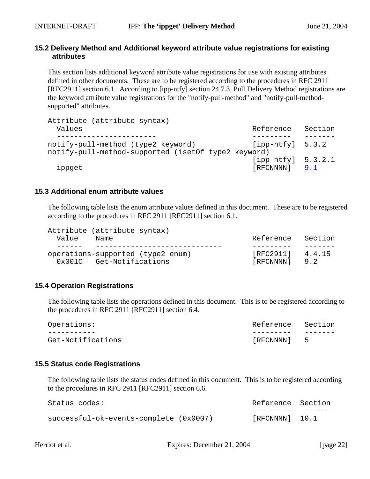### **15.2 Delivery Method and Additional keyword attribute value registrations for existing attributes**

This section lists additional keyword attribute value registrations for use with existing attributes defined in other documents. These are to be registered according to the procedures in RFC 2911 [RFC2911] section 6.1. According to [ipp-ntfy] section 24.7.3, Pull Delivery Method registrations are the keyword attribute value registrations for the "notify-pull-method" and "notify-pull-methodsupported" attributes.

| Attribute (attribute syntax)                        |                       |         |
|-----------------------------------------------------|-----------------------|---------|
| Values                                              | Reference             | Section |
|                                                     |                       |         |
| notify-pull-method (type2 keyword)                  | $[$ ipp-ntfy] $5.3.2$ |         |
| notify-pull-method-supported (1setOf type2 keyword) |                       |         |
|                                                     | $[ipp-ntfy]$ 5.3.2.1  |         |
| ippget                                              | [RFCNNNN]             | 9.1     |

### **15.3 Additional enum attribute values**

The following table lists the enum attribute values defined in this document. These are to be registered according to the procedures in RFC 2911 [RFC2911] section 6.1.

|       | Attribute (attribute syntax) |                                   |                    |         |
|-------|------------------------------|-----------------------------------|--------------------|---------|
| Value | Name                         |                                   | Reference          | Section |
|       |                              |                                   |                    |         |
|       |                              | operations-supported (type2 enum) | $[RFC2911]$ 4.4.15 |         |
|       | 0x001C Get-Notifications     |                                   | [RFCNNNN]          | 9.2     |

### **15.4 Operation Registrations**

The following table lists the operations defined in this document. This is to be registered according to the procedures in RFC 2911 [RFC2911] section 6.4.

| Operations:       | Reference Section |  |
|-------------------|-------------------|--|
|                   |                   |  |
| Get-Notifications | [RFCNNNN] 5       |  |

### **15.5 Status code Registrations**

The following table lists the status codes defined in this document. This is to be registered according to the procedures in RFC 2911 [RFC2911] section 6.6.

| Status codes:                          | Reference Section |  |
|----------------------------------------|-------------------|--|
|                                        |                   |  |
| successful-ok-events-complete (0x0007) | $[RECNNNN]$ 10.1  |  |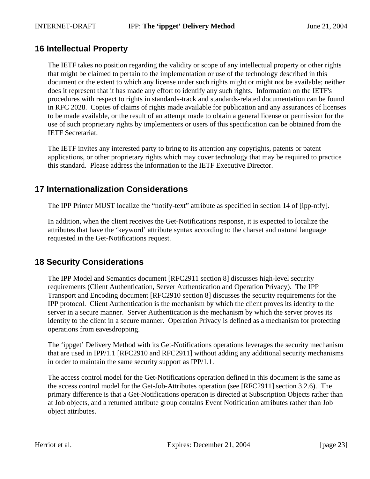# **16 Intellectual Property**

The IETF takes no position regarding the validity or scope of any intellectual property or other rights that might be claimed to pertain to the implementation or use of the technology described in this document or the extent to which any license under such rights might or might not be available; neither does it represent that it has made any effort to identify any such rights. Information on the IETF's procedures with respect to rights in standards-track and standards-related documentation can be found in RFC 2028. Copies of claims of rights made available for publication and any assurances of licenses to be made available, or the result of an attempt made to obtain a general license or permission for the use of such proprietary rights by implementers or users of this specification can be obtained from the IETF Secretariat.

The IETF invites any interested party to bring to its attention any copyrights, patents or patent applications, or other proprietary rights which may cover technology that may be required to practice this standard. Please address the information to the IETF Executive Director.

# **17 Internationalization Considerations**

The IPP Printer MUST localize the "notify-text" attribute as specified in section 14 of [ipp-ntfy].

In addition, when the client receives the Get-Notifications response, it is expected to localize the attributes that have the 'keyword' attribute syntax according to the charset and natural language requested in the Get-Notifications request.

# **18 Security Considerations**

The IPP Model and Semantics document [RFC2911 section 8] discusses high-level security requirements (Client Authentication, Server Authentication and Operation Privacy). The IPP Transport and Encoding document [RFC2910 section 8] discusses the security requirements for the IPP protocol. Client Authentication is the mechanism by which the client proves its identity to the server in a secure manner. Server Authentication is the mechanism by which the server proves its identity to the client in a secure manner. Operation Privacy is defined as a mechanism for protecting operations from eavesdropping.

The 'ippget' Delivery Method with its Get-Notifications operations leverages the security mechanism that are used in IPP/1.1 [RFC2910 and RFC2911] without adding any additional security mechanisms in order to maintain the same security support as IPP/1.1.

The access control model for the Get-Notifications operation defined in this document is the same as the access control model for the Get-Job-Attributes operation (see [RFC2911] section 3.2.6). The primary difference is that a Get-Notifications operation is directed at Subscription Objects rather than at Job objects, and a returned attribute group contains Event Notification attributes rather than Job object attributes.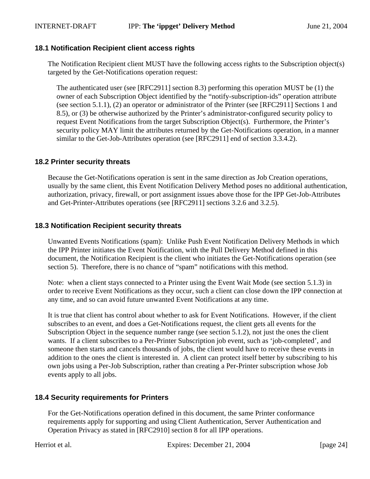### **18.1 Notification Recipient client access rights**

The Notification Recipient client MUST have the following access rights to the Subscription object(s) targeted by the Get-Notifications operation request:

The authenticated user (see [RFC2911] section 8.3) performing this operation MUST be (1) the owner of each Subscription Object identified by the "notify-subscription-ids" operation attribute (see section 5.1.1), (2) an operator or administrator of the Printer (see [RFC2911] Sections 1 and 8.5), or (3) be otherwise authorized by the Printer's administrator-configured security policy to request Event Notifications from the target Subscription Object(s). Furthermore, the Printer's security policy MAY limit the attributes returned by the Get-Notifications operation, in a manner similar to the Get-Job-Attributes operation (see [RFC2911] end of section 3.3.4.2).

### **18.2 Printer security threats**

Because the Get-Notifications operation is sent in the same direction as Job Creation operations, usually by the same client, this Event Notification Delivery Method poses no additional authentication, authorization, privacy, firewall, or port assignment issues above those for the IPP Get-Job-Attributes and Get-Printer-Attributes operations (see [RFC2911] sections 3.2.6 and 3.2.5).

### **18.3 Notification Recipient security threats**

Unwanted Events Notifications (spam): Unlike Push Event Notification Delivery Methods in which the IPP Printer initiates the Event Notification, with the Pull Delivery Method defined in this document, the Notification Recipient is the client who initiates the Get-Notifications operation (see section 5). Therefore, there is no chance of "spam" notifications with this method.

Note: when a client stays connected to a Printer using the Event Wait Mode (see section 5.1.3) in order to receive Event Notifications as they occur, such a client can close down the IPP connection at any time, and so can avoid future unwanted Event Notifications at any time.

It is true that client has control about whether to ask for Event Notifications. However, if the client subscribes to an event, and does a Get-Notifications request, the client gets all events for the Subscription Object in the sequence number range (see section 5.1.2), not just the ones the client wants. If a client subscribes to a Per-Printer Subscription job event, such as 'job-completed', and someone then starts and cancels thousands of jobs, the client would have to receive these events in addition to the ones the client is interested in. A client can protect itself better by subscribing to his own jobs using a Per-Job Subscription, rather than creating a Per-Printer subscription whose Job events apply to all jobs.

### **18.4 Security requirements for Printers**

For the Get-Notifications operation defined in this document, the same Printer conformance requirements apply for supporting and using Client Authentication, Server Authentication and Operation Privacy as stated in [RFC2910] section 8 for all IPP operations.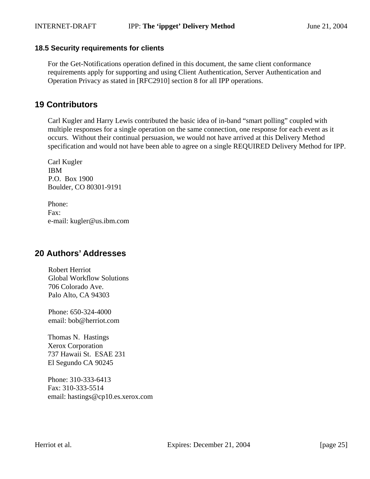### **18.5 Security requirements for clients**

For the Get-Notifications operation defined in this document, the same client conformance requirements apply for supporting and using Client Authentication, Server Authentication and Operation Privacy as stated in [RFC2910] section 8 for all IPP operations.

## **19 Contributors**

Carl Kugler and Harry Lewis contributed the basic idea of in-band "smart polling" coupled with multiple responses for a single operation on the same connection, one response for each event as it occurs. Without their continual persuasion, we would not have arrived at this Delivery Method specification and would not have been able to agree on a single REQUIRED Delivery Method for IPP.

Carl Kugler IBM P.O. Box 1900 Boulder, CO 80301-9191

Phone: Fax: e-mail: kugler@us.ibm.com

## **20 Authors' Addresses**

Robert Herriot Global Workflow Solutions 706 Colorado Ave. Palo Alto, CA 94303

Phone: 650-324-4000 email: bob@herriot.com

Thomas N. Hastings Xerox Corporation 737 Hawaii St. ESAE 231 El Segundo CA 90245

Phone: 310-333-6413 Fax: 310-333-5514 email: hastings@cp10.es.xerox.com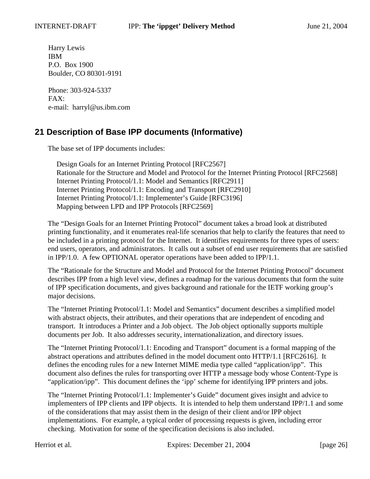Harry Lewis IBM P.O. Box 1900 Boulder, CO 80301-9191

Phone: 303-924-5337 FAX: e-mail: harryl@us.ibm.com

# **21 Description of Base IPP documents (Informative)**

The base set of IPP documents includes:

Design Goals for an Internet Printing Protocol [RFC2567] Rationale for the Structure and Model and Protocol for the Internet Printing Protocol [RFC2568] Internet Printing Protocol/1.1: Model and Semantics [RFC2911] Internet Printing Protocol/1.1: Encoding and Transport [RFC2910] Internet Printing Protocol/1.1: Implementer's Guide [RFC3196] Mapping between LPD and IPP Protocols [RFC2569]

The "Design Goals for an Internet Printing Protocol" document takes a broad look at distributed printing functionality, and it enumerates real-life scenarios that help to clarify the features that need to be included in a printing protocol for the Internet. It identifies requirements for three types of users: end users, operators, and administrators. It calls out a subset of end user requirements that are satisfied in IPP/1.0. A few OPTIONAL operator operations have been added to IPP/1.1.

The "Rationale for the Structure and Model and Protocol for the Internet Printing Protocol" document describes IPP from a high level view, defines a roadmap for the various documents that form the suite of IPP specification documents, and gives background and rationale for the IETF working group's major decisions.

The "Internet Printing Protocol/1.1: Model and Semantics" document describes a simplified model with abstract objects, their attributes, and their operations that are independent of encoding and transport. It introduces a Printer and a Job object. The Job object optionally supports multiple documents per Job. It also addresses security, internationalization, and directory issues.

The "Internet Printing Protocol/1.1: Encoding and Transport" document is a formal mapping of the abstract operations and attributes defined in the model document onto HTTP/1.1 [RFC2616]. It defines the encoding rules for a new Internet MIME media type called "application/ipp". This document also defines the rules for transporting over HTTP a message body whose Content-Type is "application/ipp". This document defines the 'ipp' scheme for identifying IPP printers and jobs.

The "Internet Printing Protocol/1.1: Implementer's Guide" document gives insight and advice to implementers of IPP clients and IPP objects. It is intended to help them understand IPP/1.1 and some of the considerations that may assist them in the design of their client and/or IPP object implementations. For example, a typical order of processing requests is given, including error checking. Motivation for some of the specification decisions is also included.